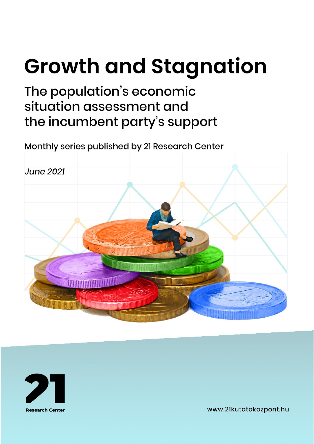# **Growth and Stagnation**

## The population's economic situation assessment and the incumbent party's support

Monthly series published by 21 Research Center





www.21kutatokozpont.hu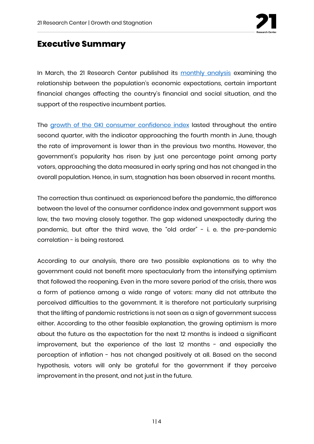

#### **Executive Summary**

In March, the 21 Research Center published its [monthly analysis](https://21kutatokozpont.hu/wp-content/uploads/2021/03/bizalmi_21marc.pdf) examining the relationship between the population's economic expectations, certain important financial changes affecting the country's financial and social situation, and the support of the respective incumbent parties.

The [growth of the GKI consumer confidence index](https://www.gki.hu/language/hu/2021/06/20/az-uzleti-varakozasok-juniusban-mar-nem-javultak/) lasted throughout the entire second quarter, with the indicator approaching the fourth month in June, though the rate of improvement is lower than in the previous two months. However, the government's popularity has risen by just one percentage point among party voters, approaching the data measured in early spring and has not changed in the overall population. Hence, in sum, stagnation has been observed in recent months.

The correction thus continued: as experienced before the pandemic, the difference between the level of the consumer confidence index and government support was low, the two moving closely together. The gap widened unexpectedly during the pandemic, but after the third wave, the "old order" - i. e. the pre-pandemic correlation - is being restored.

According to our analysis, there are two possible explanations as to why the government could not benefit more spectacularly from the intensifying optimism that followed the reopening. Even in the more severe period of the crisis, there was a form of patience among a wide range of voters: many did not attribute the perceived difficulties to the government. It is therefore not particularly surprising that the lifting of pandemic restrictions is not seen as a sign of government success either. According to the other feasible explanation, the growing optimism is more about the future as the expectation for the next 12 months is indeed a significant improvement, but the experience of the last 12 months - and especially the perception of inflation - has not changed positively at all. Based on the second hypothesis, voters will only be grateful for the government if they perceive improvement in the present, and not just in the future.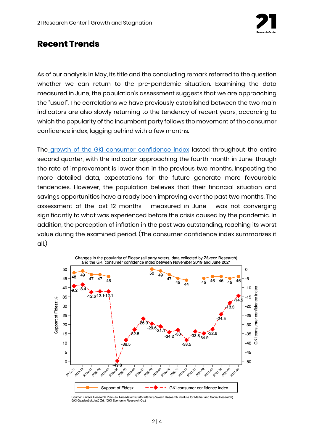

#### **Recent Trends**

As of our analysis in May, its title and the concluding remark referred to the question whether we can return to the pre-pandemic situation. Examining the data measured in June, the population's assessment suggests that we are approaching the "usual". The correlations we have previously established between the two main indicators are also slowly returning to the tendency of recent years, according to which the popularity of the incumbent party follows the movement of the consumer confidence index, lagging behind with a few months.

The [growth of the GKI consumer confidence index](https://www.gki.hu/language/hu/2021/06/20/az-uzleti-varakozasok-juniusban-mar-nem-javultak/) lasted throughout the entire second quarter, with the indicator approaching the fourth month in June, though the rate of improvement is lower than in the previous two months. Inspecting the more detailed data, expectations for the future generate more favourable tendencies. However, the population believes that their financial situation and savings opportunities have already been improving over the past two months. The assessment of the last 12 months - measured in June - was not converging significantly to what was experienced before the crisis caused by the pandemic. In addition, the perception of inflation in the past was outstanding, reaching its worst value during the examined period. (The consumer confidence index summarizes it all.)



Source: Závecz Research Piac- és Társadalomkutató Intézet (Závecz Research Institute for Market and Social Research)<br>GKI Gazdaságkutató Zrt. (GKI Economic Research Co.)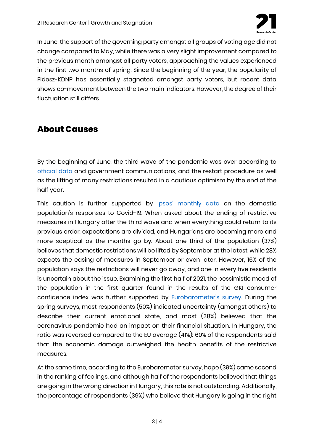

In June, the support of the governing party amongst all groups of voting age did not change compared to May, while there was a very slight improvement compared to the previous month amongst all party voters, approaching the values experienced in the first two months of spring. Since the beginning of the year, the popularity of Fidesz-KDNP has essentially stagnated amongst party voters, but recent data shows co-movement between the two main indicators. However, the degree of their fluctuation still differs.

### **About Causes**

By the beginning of June, the third wave of the pandemic was over according to [official data](https://koronavirus.gov.hu/cikkek/5-millio-120-ezer-beoltott-465-az-uj-fertozott-elhunyt-27-beteg) and government communications, and the restart procedure as well as the lifting of many restrictions resulted in a cautious optimism by the end of the half year.

This caution is further supported by **[Ipsos' monthly data](https://www.ipsos.com/hu-hu/covid-19-visszatekintes-media-felulirta-tenyadatokat?__cf_chl_managed_tk__=a01d423befbeb5526992127703fec3b8f7664d18-1625831449-0-AdiCP4eko3u_Y3IAHxs9rTc7wwLDJeQ3G2hcUzMrX1qX-UOU3k1VwnlRFURTrYER0oZuClcbBb1uUeKXGMOTjovSJx9SCh_30y_gl0wlDEkwSoPqpQeTQfcuCviaZm5i9OJlYRvKyt3JWtvBIH5bMWmfou_eWZud95ul00ttTTg-kmz0NGepMw3vyhLjzgNHM-fRQN9Zz7QoR2p7NK5UMfAyuyDjBoTa1u3fOoU_ClATKmEQgYMHa9rR3C6YptP79R2XQ7WHdvR9uruxy-qUFIkwLx6_0ZIKhiTVqkgVosABdl8IaNzTkew0fK7TlVU7AySf1IF23g78xt9ce4gc7WDBaf-TkGVllK4k4MfMt5VR-dr5YRccDwyZcrk5ymGQLkNLYaOQDOCzYUpQVThC20jAtyq7zytkXzjBd7PGcD_7wnc-BsA7mXLtS088d1lteAfdpxenxSffh724vl9Kf_pXs6juwXQoeFWBIu6AEDu5L54iIm6IG84jRb87yWFs2W8f9tzAH7r00ZXDfSAj8Oz0ev9bBeLuUpYeaMz3j_MhsfuenZAaApvYRpc2olpdsAlnNAPXiEYHwNMOE4V6XrHLFE6CkCs3qnTKpJHqp5_T5_kBQzIH9tG9Ge_qQY9VaMog94DUU8upRRSqKMrXrIsKTDT6P5gCOL4PZAGg18FVlPSrx8vpYT4NJdvwlrk8S-ZINA7c472lHLCb8Dbf6vMTtY_Jgu32RuhHHP_BX9_OYsA_eIZgswU6_ZqKTM8DHg)** on the domestic population's responses to Covid-19. When asked about the ending of restrictive measures in Hungary after the third wave and when everything could return to its previous order, expectations are divided, and Hungarians are becoming more and more sceptical as the months go by. About one-third of the population (37%) believes that domestic restrictions will be lifted by September at the latest, while 28% expects the easing of measures in September or even later. However, 16% of the population says the restrictions will never go away, and one in every five residents is uncertain about the issue. Examining the first half of 2021, the pessimistic mood of the population in the first quarter found in the results of the GKI consumer confidence index was further supported by **[Eurobarometer's survey](https://www.europarl.europa.eu/at-your-service/en/be-heard/eurobarometer/spring-2021-survey)**. During the spring surveys, most respondents (50%) indicated uncertainty (amongst others) to describe their current emotional state, and most (38%) believed that the coronavirus pandemic had an impact on their financial situation. In Hungary, the ratio was reversed compared to the EU average (41%): 60% of the respondents said that the economic damage outweighed the health benefits of the restrictive measures.

At the same time, according to the Eurobarometer survey, hope (39%) came second in the ranking of feelings, and although half of the respondents believed that things are going in the wrong direction in Hungary, this rate is not outstanding. Additionally, the percentage of respondents (39%) who believe that Hungary is going in the right